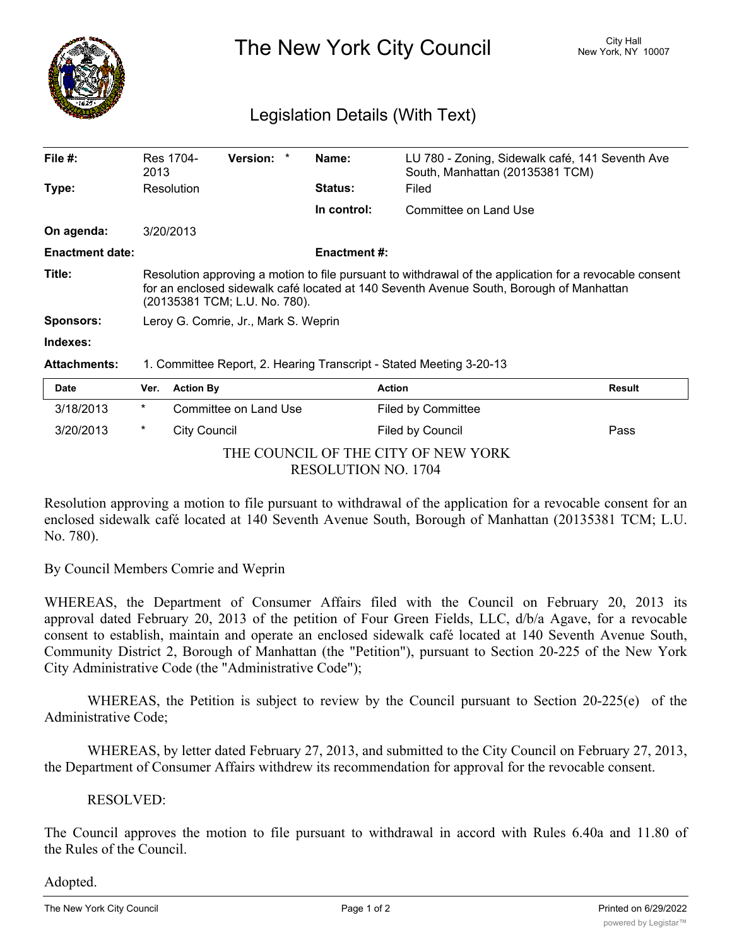

The New York City Council New York, NY 10007

## Legislation Details (With Text)

| File $#$ :             | Res 1704-<br>2013                                                                                                                                                                                                                   | <b>Version:</b> |  | Name:          | LU 780 - Zoning, Sidewalk café, 141 Seventh Ave<br>South, Manhattan (20135381 TCM) |               |  |
|------------------------|-------------------------------------------------------------------------------------------------------------------------------------------------------------------------------------------------------------------------------------|-----------------|--|----------------|------------------------------------------------------------------------------------|---------------|--|
| Type:                  | Resolution                                                                                                                                                                                                                          |                 |  | <b>Status:</b> | Filed                                                                              |               |  |
|                        |                                                                                                                                                                                                                                     |                 |  | In control:    | Committee on Land Use                                                              |               |  |
| On agenda:             | 3/20/2013                                                                                                                                                                                                                           |                 |  |                |                                                                                    |               |  |
| <b>Enactment date:</b> | <b>Enactment#:</b>                                                                                                                                                                                                                  |                 |  |                |                                                                                    |               |  |
| Title:                 | Resolution approving a motion to file pursuant to withdrawal of the application for a revocable consent<br>for an enclosed sidewalk café located at 140 Seventh Avenue South, Borough of Manhattan<br>(20135381 TCM; L.U. No. 780). |                 |  |                |                                                                                    |               |  |
| <b>Sponsors:</b>       | Leroy G. Comrie, Jr., Mark S. Weprin                                                                                                                                                                                                |                 |  |                |                                                                                    |               |  |
| Indexes:               |                                                                                                                                                                                                                                     |                 |  |                |                                                                                    |               |  |
| <b>Attachments:</b>    | 1. Committee Report, 2. Hearing Transcript - Stated Meeting 3-20-13                                                                                                                                                                 |                 |  |                |                                                                                    |               |  |
| Date                   | <b>Action By</b><br>Ver.                                                                                                                                                                                                            |                 |  |                | <b>Action</b>                                                                      | <b>Result</b> |  |

| Pale                                |   | <b>VGI. AVUUILDY</b>  | Aww.               | ngsun |  |  |  |
|-------------------------------------|---|-----------------------|--------------------|-------|--|--|--|
| 3/18/2013                           | * | Committee on Land Use | Filed by Committee |       |  |  |  |
| 3/20/2013                           | * | City Council          | Filed by Council   | Pass  |  |  |  |
| THE COUNCIL OF THE CITY OF NEW YORK |   |                       |                    |       |  |  |  |
| <b>RESOLUTION NO. 1704</b>          |   |                       |                    |       |  |  |  |

Resolution approving a motion to file pursuant to withdrawal of the application for a revocable consent for an enclosed sidewalk café located at 140 Seventh Avenue South, Borough of Manhattan (20135381 TCM; L.U. No. 780).

By Council Members Comrie and Weprin

WHEREAS, the Department of Consumer Affairs filed with the Council on February 20, 2013 its approval dated February 20, 2013 of the petition of Four Green Fields, LLC, d/b/a Agave, for a revocable consent to establish, maintain and operate an enclosed sidewalk café located at 140 Seventh Avenue South, Community District 2, Borough of Manhattan (the "Petition"), pursuant to Section 20-225 of the New York City Administrative Code (the "Administrative Code");

WHEREAS, the Petition is subject to review by the Council pursuant to Section 20-225(e) of the Administrative Code;

WHEREAS, by letter dated February 27, 2013, and submitted to the City Council on February 27, 2013, the Department of Consumer Affairs withdrew its recommendation for approval for the revocable consent.

## RESOLVED:

The Council approves the motion to file pursuant to withdrawal in accord with Rules 6.40a and 11.80 of the Rules of the Council.

## Adopted.